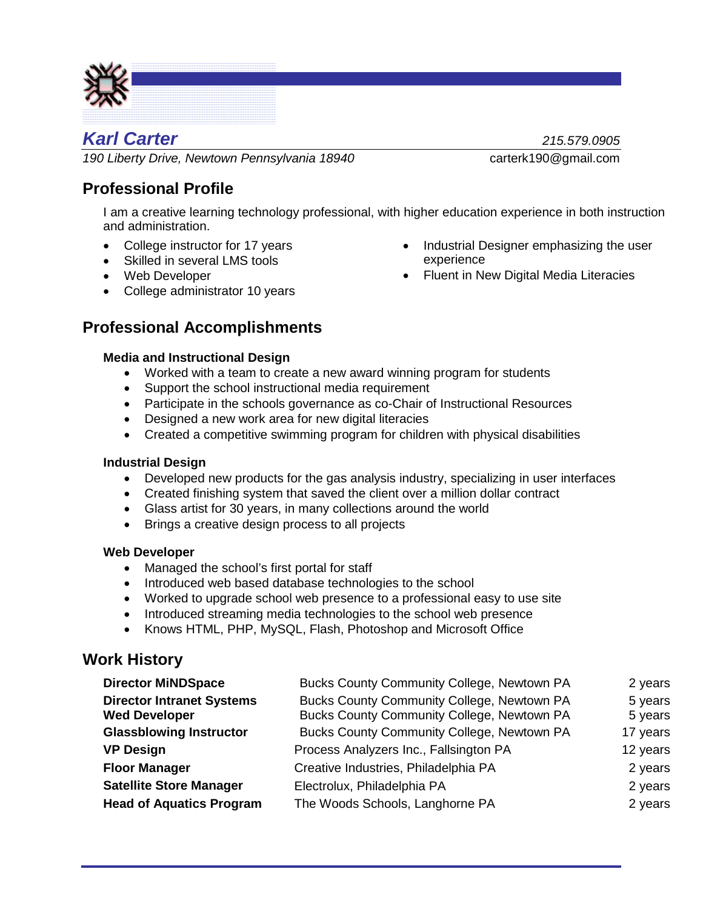

# *Karl Carter 215.579.0905*

*190 Liberty Drive, Newtown Pennsylvania 18940* carterk190@gmail.com

## **Professional Profile**

I am a creative learning technology professional, with higher education experience in both instruction and administration.

- College instructor for 17 years
- Skilled in several LMS tools
- Web Developer
- College administrator 10 years

## **Professional Accomplishments**

#### **Media and Instructional Design**

- Worked with a team to create a new award winning program for students
- Support the school instructional media requirement
- Participate in the schools governance as co-Chair of Instructional Resources
- Designed a new work area for new digital literacies
- Created a competitive swimming program for children with physical disabilities

#### **Industrial Design**

- Developed new products for the gas analysis industry, specializing in user interfaces
- Created finishing system that saved the client over a million dollar contract
- Glass artist for 30 years, in many collections around the world
- Brings a creative design process to all projects

#### **Web Developer**

- Managed the school's first portal for staff
- Introduced web based database technologies to the school
- Worked to upgrade school web presence to a professional easy to use site
- Introduced streaming media technologies to the school web presence
- Knows HTML, PHP, MySQL, Flash, Photoshop and Microsoft Office

### **Work History**

| <b>Director MiNDSpace</b>                                | <b>Bucks County Community College, Newtown PA</b>                                        | 2 years            |
|----------------------------------------------------------|------------------------------------------------------------------------------------------|--------------------|
| <b>Director Intranet Systems</b><br><b>Wed Developer</b> | Bucks County Community College, Newtown PA<br>Bucks County Community College, Newtown PA | 5 years<br>5 years |
| <b>Glassblowing Instructor</b>                           | Bucks County Community College, Newtown PA                                               | 17 years           |
| <b>VP Design</b>                                         | Process Analyzers Inc., Fallsington PA                                                   | 12 years           |
| <b>Floor Manager</b>                                     | Creative Industries, Philadelphia PA                                                     | 2 years            |
| <b>Satellite Store Manager</b>                           | Electrolux, Philadelphia PA                                                              | 2 years            |
| <b>Head of Aquatics Program</b>                          | The Woods Schools, Langhorne PA                                                          | 2 years            |

- Industrial Designer emphasizing the user experience
- Fluent in New Digital Media Literacies